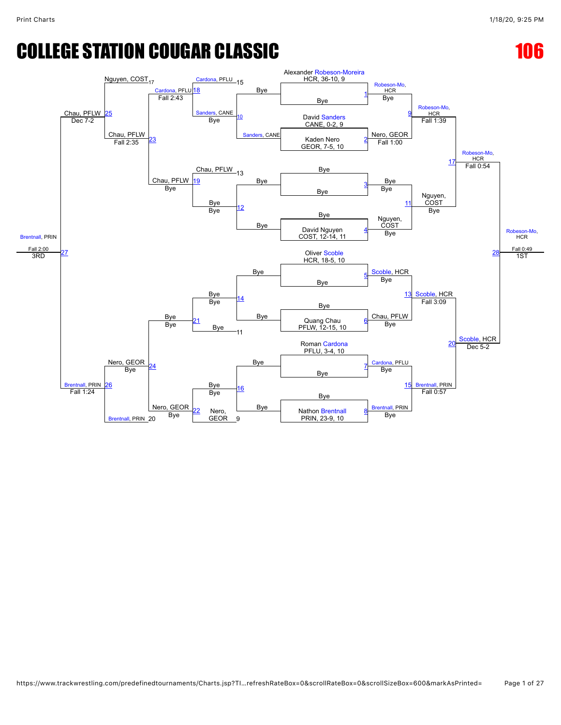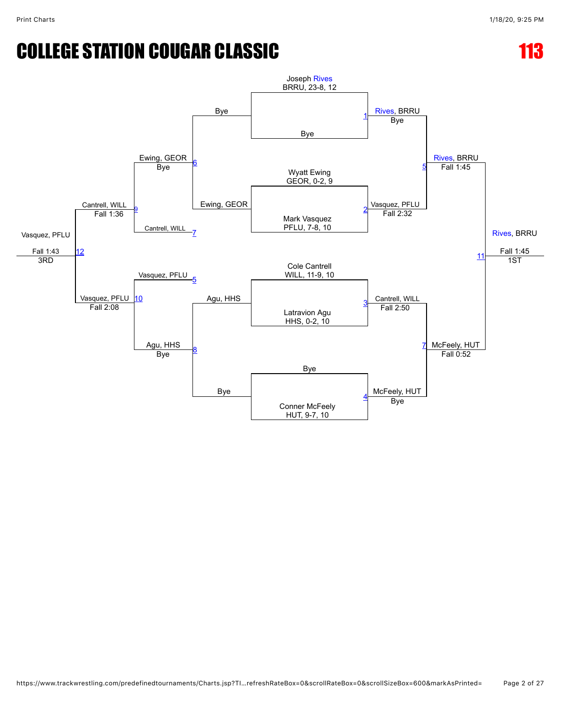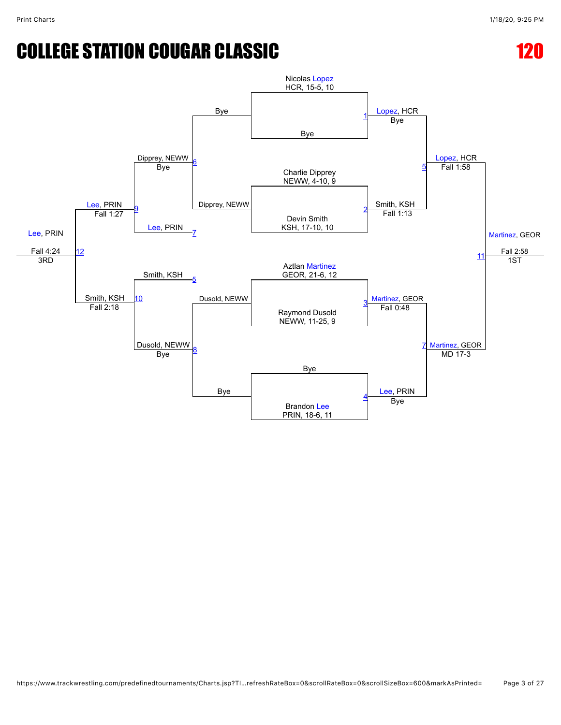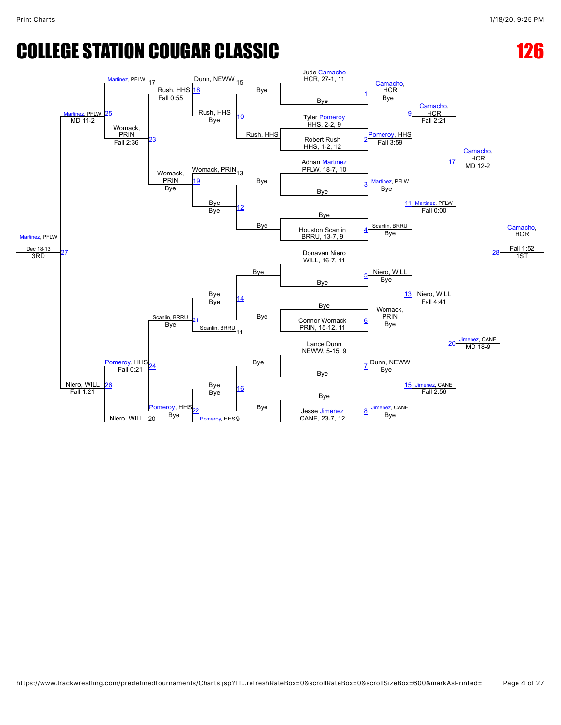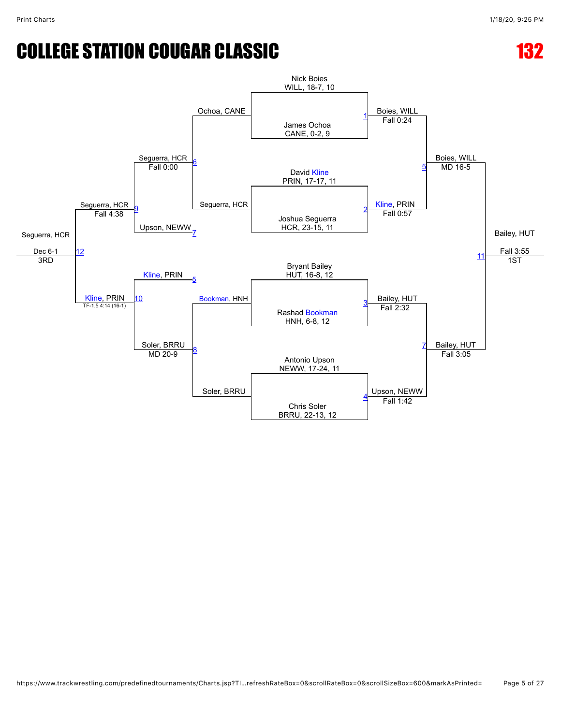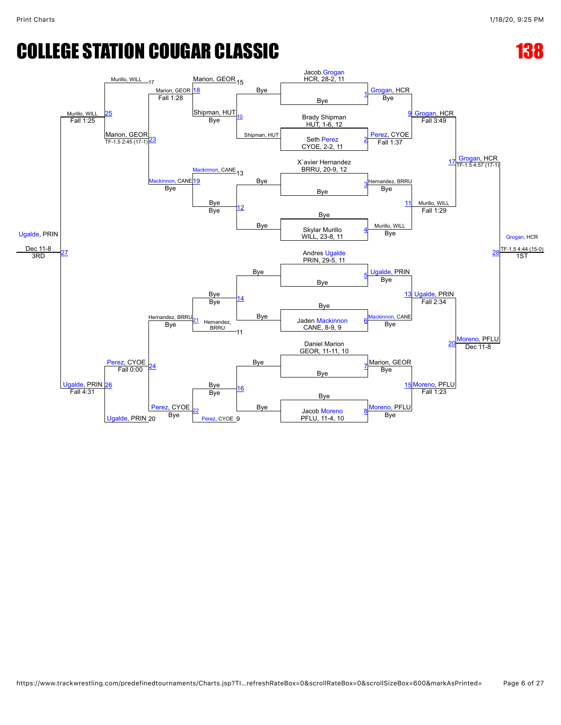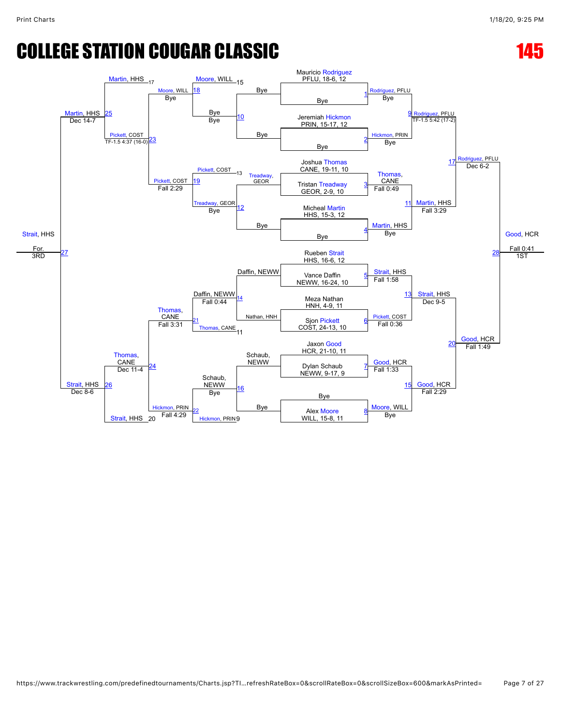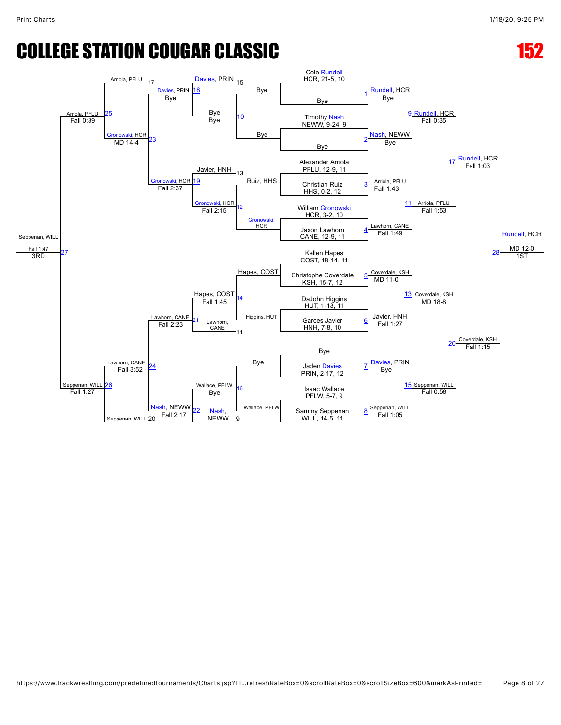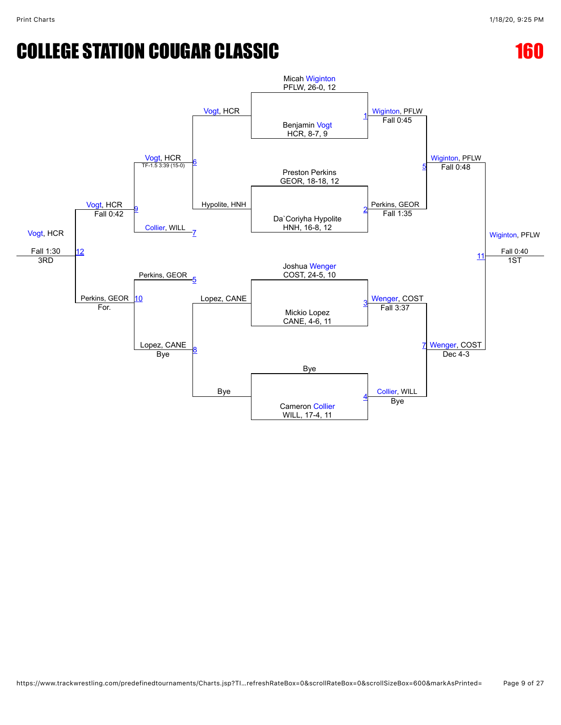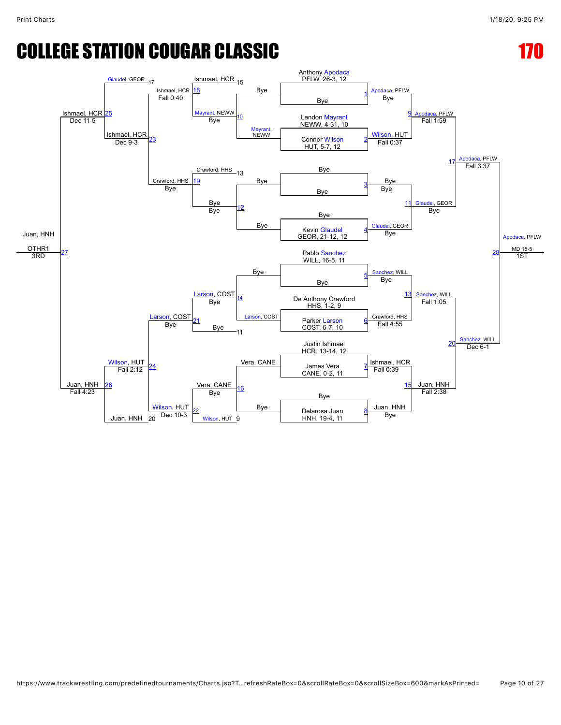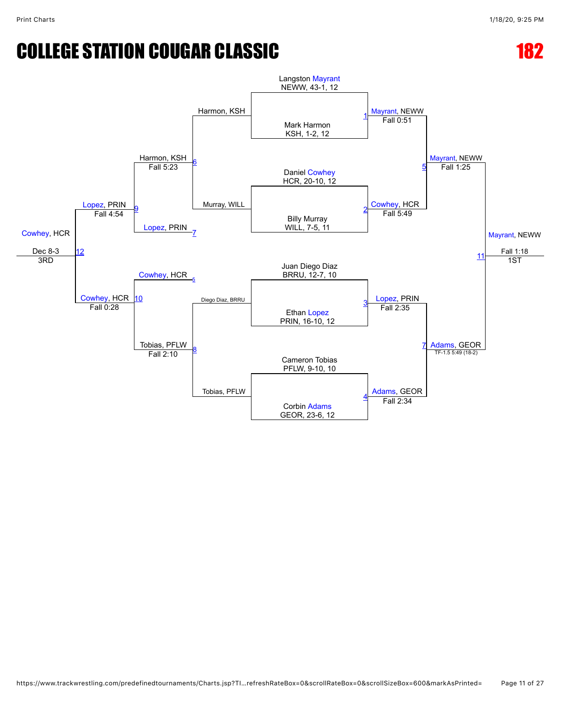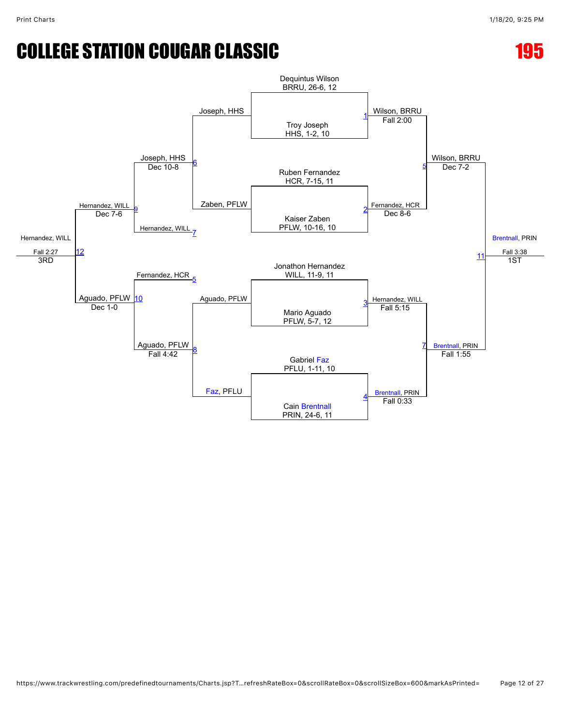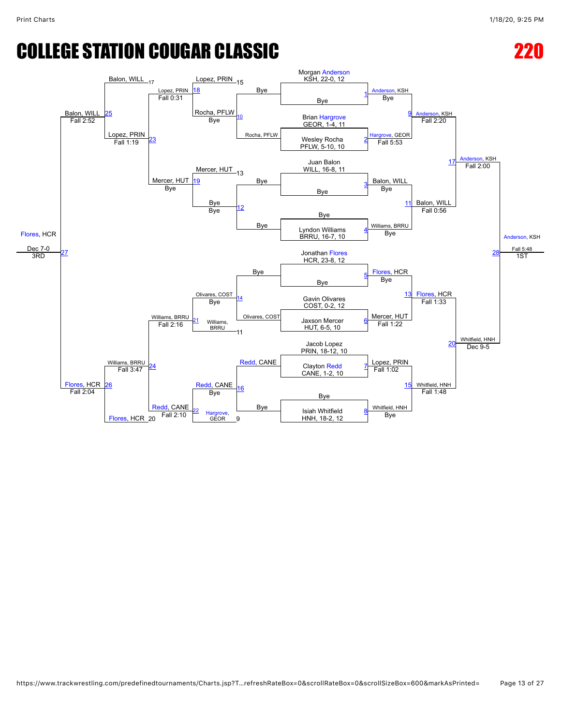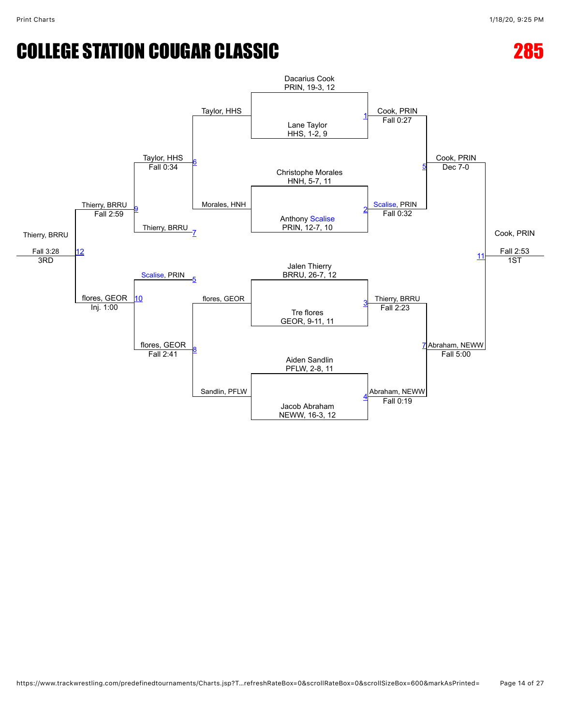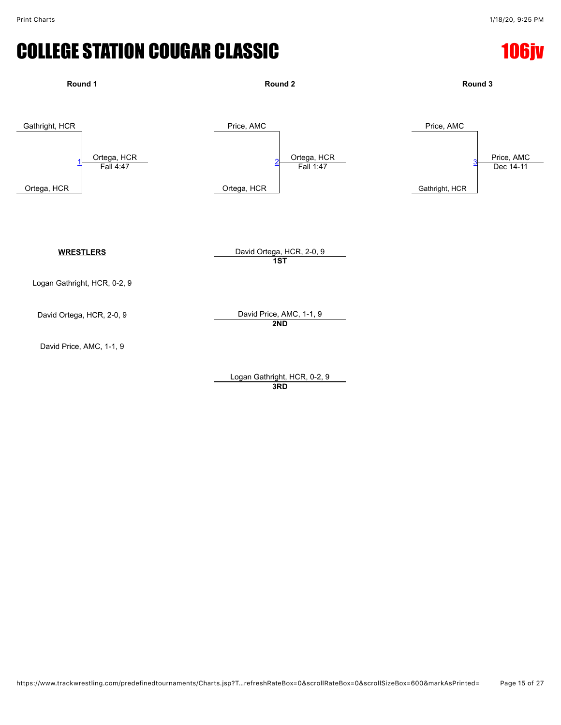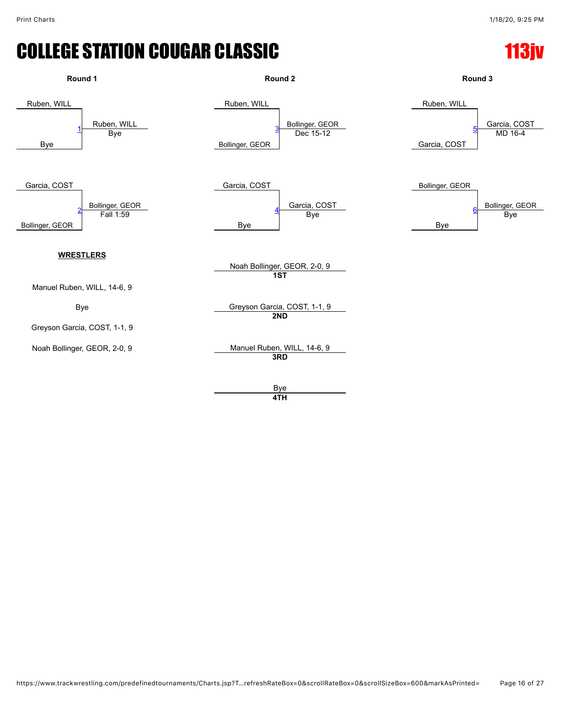

**4TH**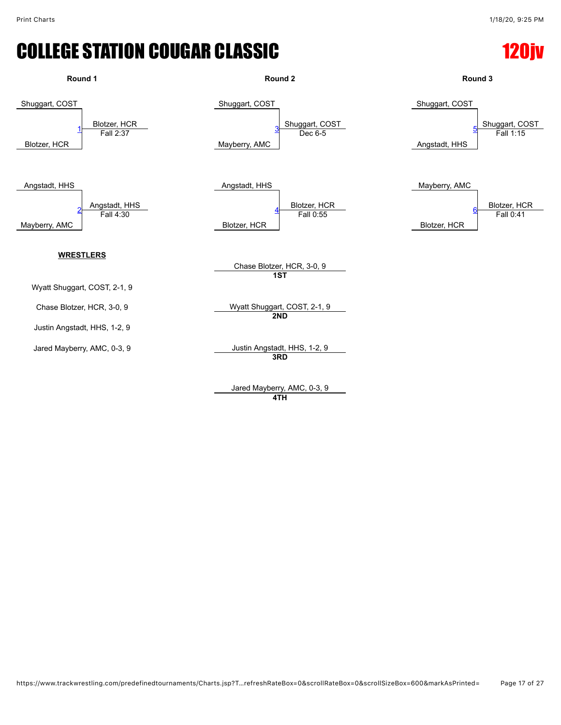

Jared Mayberry, AMC, 0-3, 9 **4TH**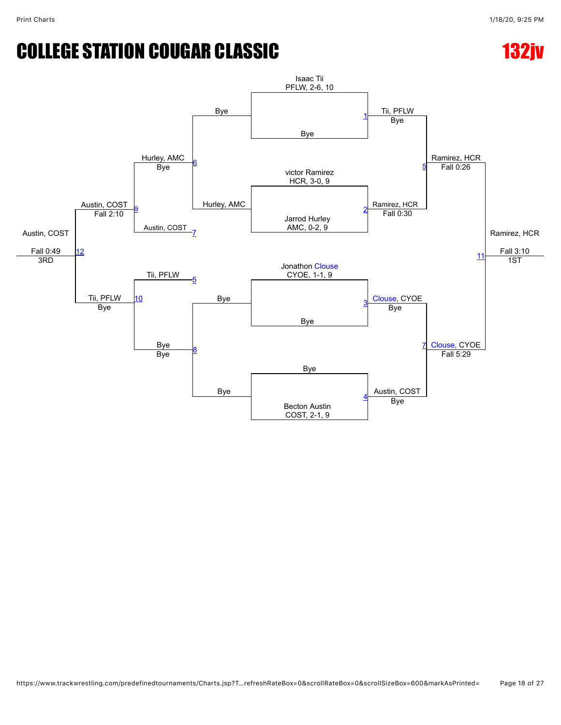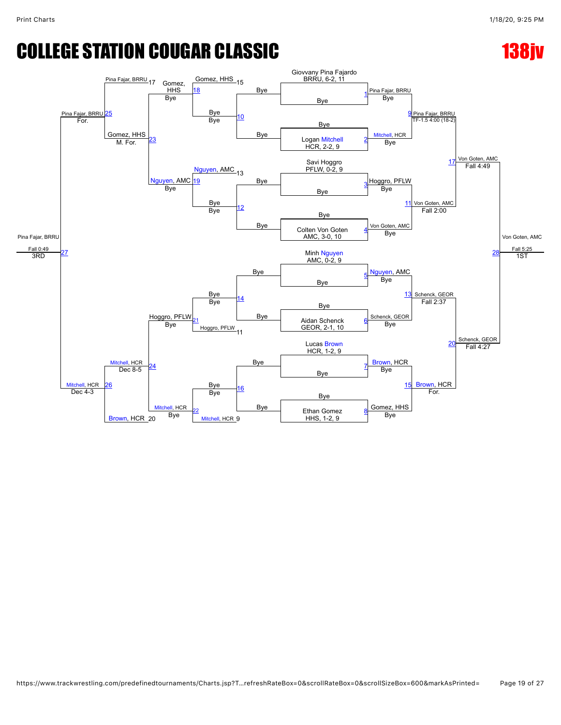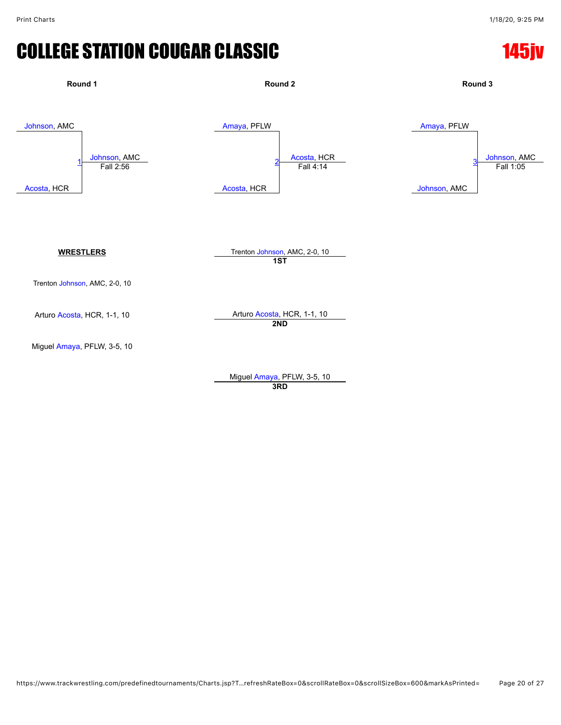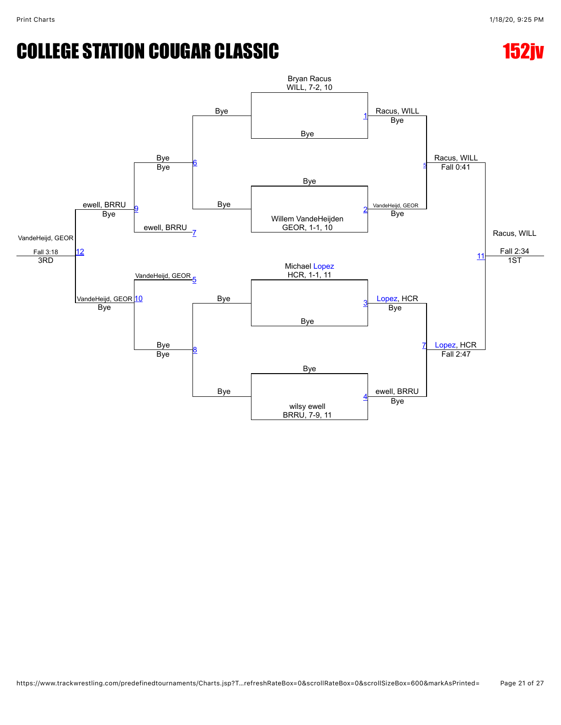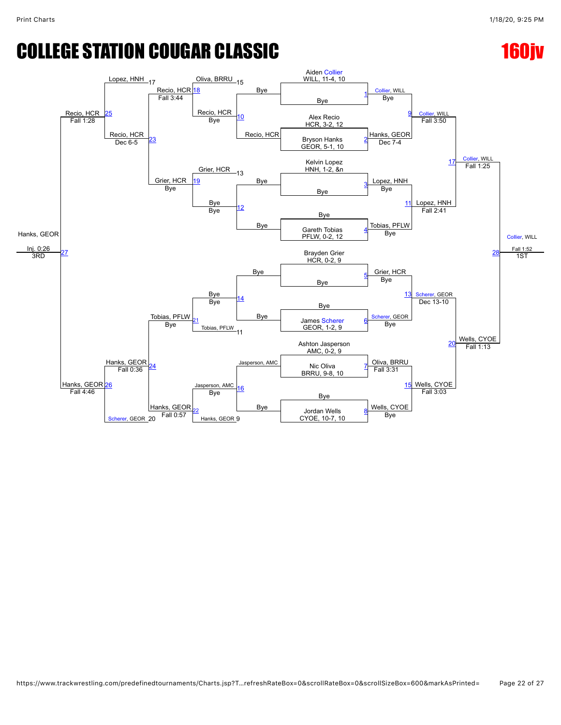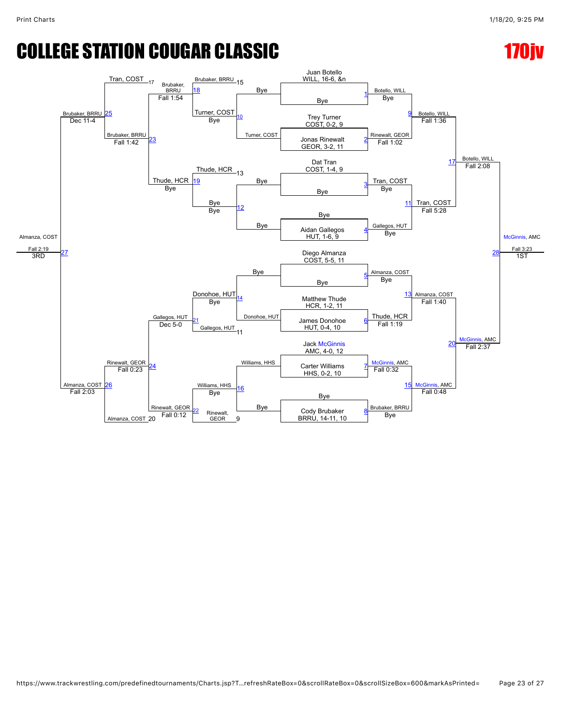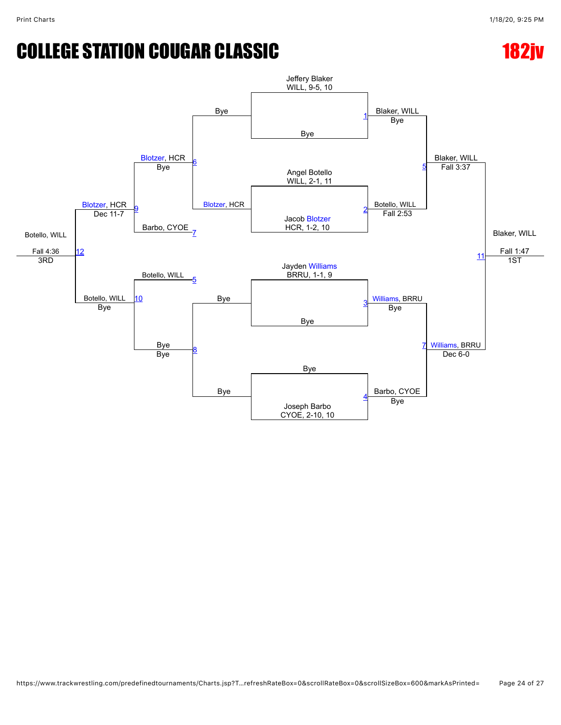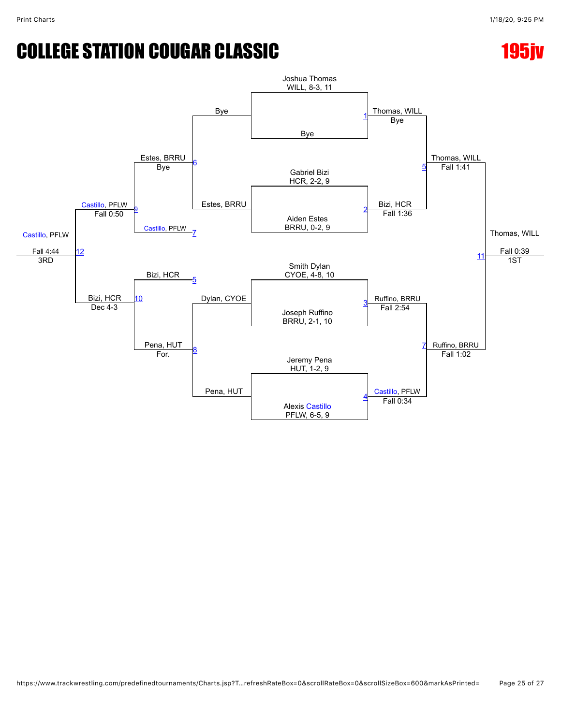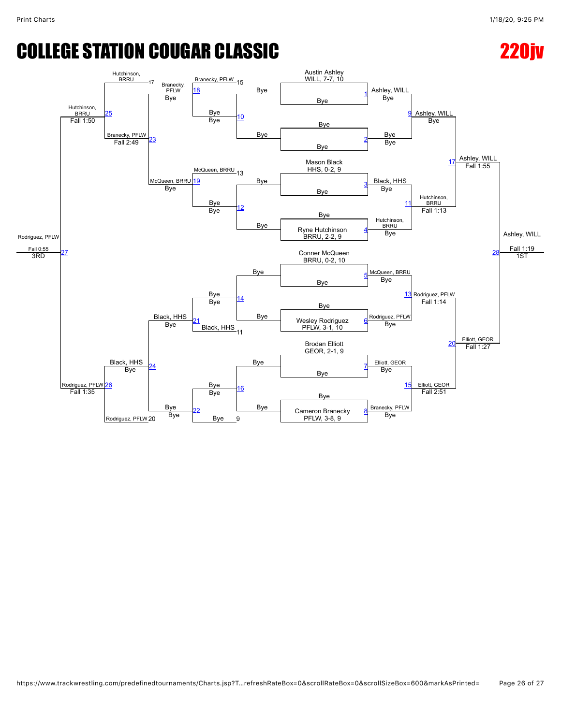